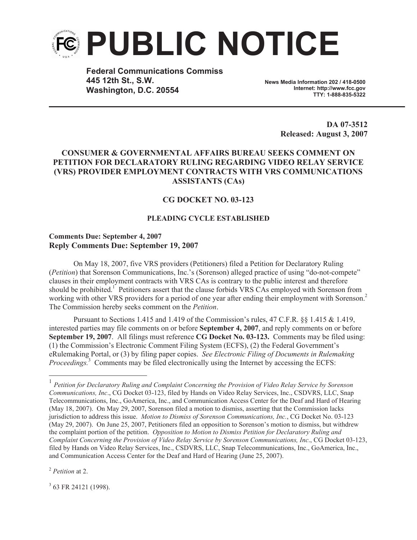

**Federal Communications Commiss 445 12th St., S.W. Washington, D.C. 20554**

**News Media Information 202 / 418-0500 Internet: http://www.fcc.gov TTY: 1-888-835-5322**

> **DA 07-3512 Released: August 3, 2007**

## **CONSUMER & GOVERNMENTAL AFFAIRS BUREAU SEEKS COMMENT ON PETITION FOR DECLARATORY RULING REGARDING VIDEO RELAY SERVICE (VRS) PROVIDER EMPLOYMENT CONTRACTS WITH VRS COMMUNICATIONS ASSISTANTS (CAs)**

## **CG DOCKET NO. 03-123**

## **PLEADING CYCLE ESTABLISHED**

## **Comments Due: September 4, 2007 Reply Comments Due: September 19, 2007**

On May 18, 2007, five VRS providers (Petitioners) filed a Petition for Declaratory Ruling (*Petition*) that Sorenson Communications, Inc.'s (Sorenson) alleged practice of using "do-not-compete" clauses in their employment contracts with VRS CAs is contrary to the public interest and therefore should be prohibited.<sup>1</sup> Petitioners assert that the clause forbids VRS CAs employed with Sorenson from working with other VRS providers for a period of one year after ending their employment with Sorenson.<sup>2</sup> The Commission hereby seeks comment on the *Petition*.

Pursuant to Sections 1.415 and 1.419 of the Commission's rules, 47 C.F.R. §§ 1.415 & 1.419, interested parties may file comments on or before **September 4, 2007**, and reply comments on or before **September 19, 2007**. All filings must reference **CG Docket No. 03-123.** Comments may be filed using: (1) the Commission's Electronic Comment Filing System (ECFS), (2) the Federal Government's eRulemaking Portal, or (3) by filing paper copies. *See Electronic Filing of Documents in Rulemaking Proceedings.*<sup>3</sup> Comments may be filed electronically using the Internet by accessing the ECFS:

<sup>2</sup> *Petition* at 2.

<sup>3</sup> 63 FR 24121 (1998).

<sup>&</sup>lt;sup>1</sup> Petition for Declaratory Ruling and Complaint Concerning the Provision of Video Relay Service by Sorenson *Communications, Inc*., CG Docket 03-123, filed by Hands on Video Relay Services, Inc., CSDVRS, LLC, Snap Telecommunications, Inc., GoAmerica, Inc., and Communication Access Center for the Deaf and Hard of Hearing (May 18, 2007). On May 29, 2007, Sorenson filed a motion to dismiss, asserting that the Commission lacks jurisdiction to address this issue. *Motion to Dismiss of Sorenson Communications, Inc.*, CG Docket No. 03-123 (May 29, 2007). On June 25, 2007, Petitioners filed an opposition to Sorenson's motion to dismiss, but withdrew the complaint portion of the petition. *Opposition to Motion to Dismiss Petition for Declaratory Ruling and Complaint Concerning the Provision of Video Relay Service by Sorenson Communications, Inc*., CG Docket 03-123, filed by Hands on Video Relay Services, Inc., CSDVRS, LLC, Snap Telecommunications, Inc., GoAmerica, Inc., and Communication Access Center for the Deaf and Hard of Hearing (June 25, 2007).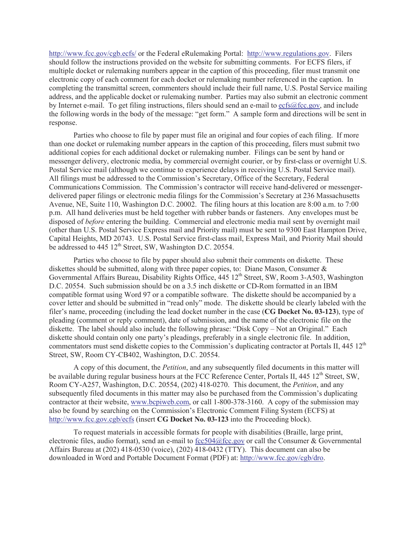http://www.fcc.gov/cgb.ecfs/ or the Federal eRulemaking Portal: http://www.regulations.gov. Filers should follow the instructions provided on the website for submitting comments. For ECFS filers, if multiple docket or rulemaking numbers appear in the caption of this proceeding, filer must transmit one electronic copy of each comment for each docket or rulemaking number referenced in the caption. In completing the transmittal screen, commenters should include their full name, U.S. Postal Service mailing address, and the applicable docket or rulemaking number. Parties may also submit an electronic comment by Internet e-mail. To get filing instructions, filers should send an e-mail to ecfs@fcc.gov, and include the following words in the body of the message: "get form." A sample form and directions will be sent in response.

Parties who choose to file by paper must file an original and four copies of each filing. If more than one docket or rulemaking number appears in the caption of this proceeding, filers must submit two additional copies for each additional docket or rulemaking number. Filings can be sent by hand or messenger delivery, electronic media, by commercial overnight courier, or by first-class or overnight U.S. Postal Service mail (although we continue to experience delays in receiving U.S. Postal Service mail). All filings must be addressed to the Commission's Secretary, Office of the Secretary, Federal Communications Commission. The Commission's contractor will receive hand-delivered or messengerdelivered paper filings or electronic media filings for the Commission's Secretary at 236 Massachusetts Avenue, NE, Suite 110, Washington D.C. 20002. The filing hours at this location are 8:00 a.m. to 7:00 p.m. All hand deliveries must be held together with rubber bands or fasteners. Any envelopes must be disposed of *before* entering the building. Commercial and electronic media mail sent by overnight mail (other than U.S. Postal Service Express mail and Priority mail) must be sent to 9300 East Hampton Drive, Capital Heights, MD 20743. U.S. Postal Service first-class mail, Express Mail, and Priority Mail should be addressed to 445 12<sup>th</sup> Street, SW, Washington D.C. 20554.

Parties who choose to file by paper should also submit their comments on diskette. These diskettes should be submitted, along with three paper copies, to: Diane Mason, Consumer & Governmental Affairs Bureau, Disability Rights Office, 445 12<sup>th</sup> Street, SW, Room 3-A503, Washington D.C. 20554. Such submission should be on a 3.5 inch diskette or CD-Rom formatted in an IBM compatible format using Word 97 or a compatible software. The diskette should be accompanied by a cover letter and should be submitted in "read only" mode. The diskette should be clearly labeled with the filer's name, proceeding (including the lead docket number in the case (**CG Docket No. 03-123**), type of pleading (comment or reply comment), date of submission, and the name of the electronic file on the diskette. The label should also include the following phrase: "Disk Copy – Not an Original." Each diskette should contain only one party's pleadings, preferably in a single electronic file. In addition, commentators must send diskette copies to the Commission's duplicating contractor at Portals II, 445 12<sup>th</sup> Street, SW, Room CY-CB402, Washington, D.C. 20554.

A copy of this document, the *Petition*, and any subsequently filed documents in this matter will be available during regular business hours at the FCC Reference Center, Portals II,  $445 \times 12^{th}$  Street, SW, Room CY-A257, Washington, D.C. 20554, (202) 418-0270. This document, the *Petition*, and any subsequently filed documents in this matter may also be purchased from the Commission's duplicating contractor at their website, www.bcpiweb.com, or call 1-800-378-3160. A copy of the submission may also be found by searching on the Commission's Electronic Comment Filing System (ECFS) at http://www.fcc.gov.cgb/ecfs (insert **CG Docket No. 03-123** into the Proceeding block).

To request materials in accessible formats for people with disabilities (Braille, large print, electronic files, audio format), send an e-mail to fcc504@fcc.gov or call the Consumer & Governmental Affairs Bureau at (202) 418-0530 (voice), (202) 418-0432 (TTY). This document can also be downloaded in Word and Portable Document Format (PDF) at: http://www.fcc.gov/cgb/dro.